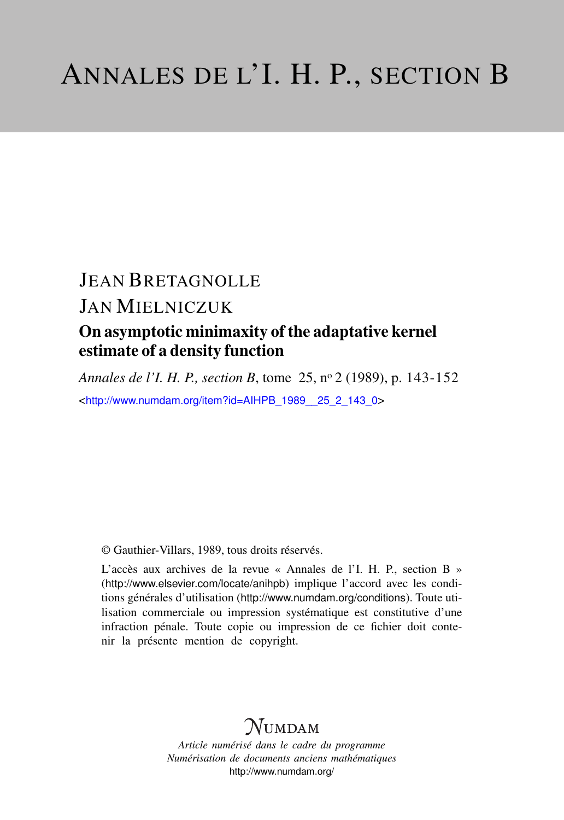# JEAN BRETAGNOLLE

# JAN MIELNICZUK

### On asymptotic minimaxity of the adaptative kernel estimate of a density function

*Annales de l'I. H. P., section B*, tome 25, n<sup>o</sup> 2 (1989), p. 143-152 <[http://www.numdam.org/item?id=AIHPB\\_1989\\_\\_25\\_2\\_143\\_0](http://www.numdam.org/item?id=AIHPB_1989__25_2_143_0)>

© Gauthier-Villars, 1989, tous droits réservés.

L'accès aux archives de la revue « Annales de l'I. H. P., section B » (<http://www.elsevier.com/locate/anihpb>) implique l'accord avec les conditions générales d'utilisation (<http://www.numdam.org/conditions>). Toute utilisation commerciale ou impression systématique est constitutive d'une infraction pénale. Toute copie ou impression de ce fichier doit contenir la présente mention de copyright.

# $N$ UMDAM

*Article numérisé dans le cadre du programme Numérisation de documents anciens mathématiques* <http://www.numdam.org/>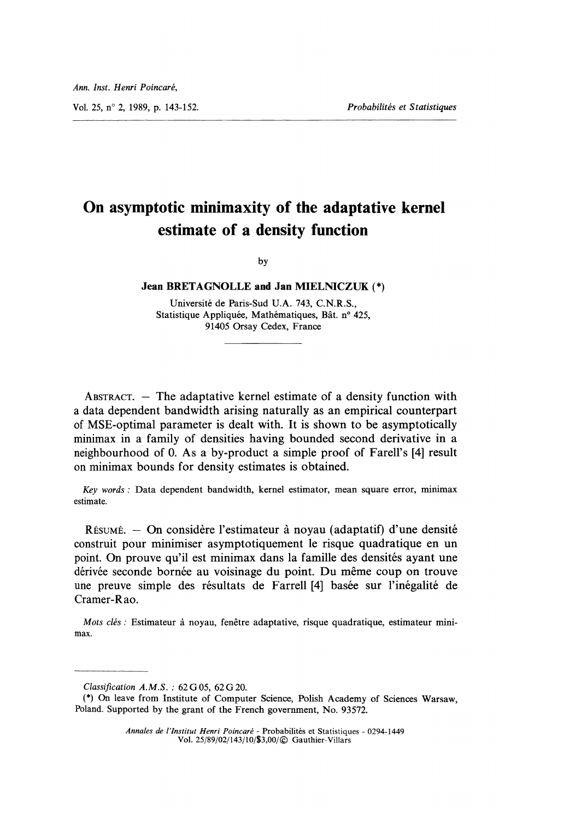Vol. 25, n° 2, 1989, p. 143-152. Probabilités et Statistiques

### On asymptotic minimaxity of the adaptative kernel estimate of a density function

by

#### Jean BRETAGNOLLE and Jan MIELNICZUK (\*)

Universite de Paris-Sud U.A. 743, C.N.R.S., Statistique Appliquée, Mathématiques, Bât. nº 425, 91405 Orsay Cedex, France

ABSTRACT.  $-$  The adaptative kernel estimate of a density function with a data dependent bandwidth arising naturally as an empirical counterpart of MSE-optimal parameter is dealt with. It is shown to be asymptotically minimax in a family of densities having bounded second derivative in a neighbourhood of 0. As a by-product a simple proof of Farell's [4] result on minimax bounds for density estimates is obtained.

Key words : Data dependent bandwidth, kernel estimator, mean square error, minimax estimate.

 $R$ ésumé.  $-$  On considère l'estimateur à noyau (adaptatif) d'une densité construit pour minimiser asymptotiquement le risque quadratique en un point. On prouve qu'il est minimax dans la famille des densités ayant une dérivée seconde bornée au voisinage du point. Du même coup on trouve une preuve simple des résultats de Farrell [4] basée sur l'inégalité de Cramer-Rao.

Mots clés : Estimateur à noyau, fenêtre adaptative, risque quadratique, estimateur minimax.

Classification  $A.M.S.$ : 62 G 05, 62 G 20.

<sup>(\*)</sup> On leave from Institute of Computer Science, Polish Academy of Sciences Warsaw, Poland. Supported by the grant of the French government, No. 93572.

Annales de l'Institut Henri Poincaré - Probabilités et Statistiques - 0294-1449 Vol. 25/89/02/143/10/\$3,00/© Gauthier-Villars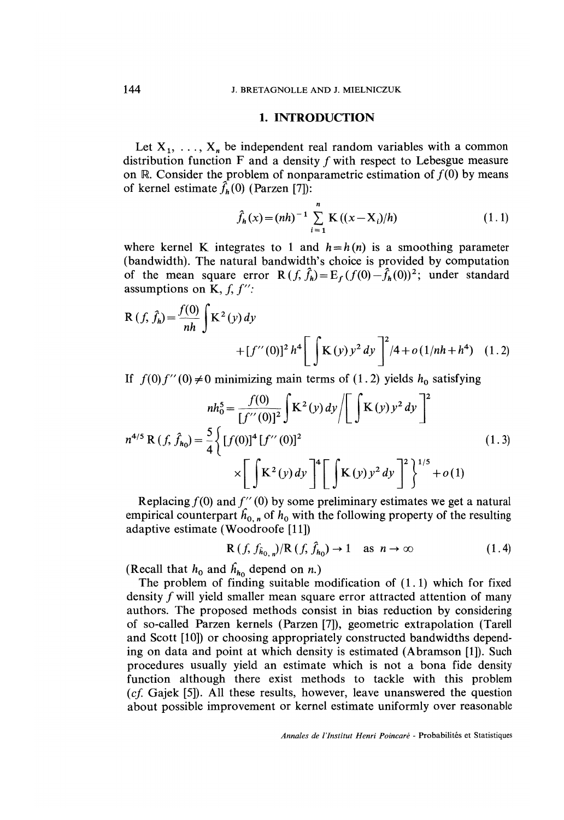#### 1. INTRODUCTION

Let  $X_1, \ldots, X_n$  be independent real random variables with a common distribution function  $F$  and a density  $f$  with respect to Lebesgue measure on R. Consider the problem of nonparametric estimation of  $f(0)$  by means of kernel estimate  $\hat{f}_h(0)$  (Parzen [7]):

$$
\hat{f}_h(x) = (nh)^{-1} \sum_{i=1}^n \mathbf{K}((x - X_i)/h)
$$
 (1.1)

where kernel K integrates to 1 and  $h = h(n)$  is a smoothing parameter (bandwidth). The natural bandwidth's choice is provided by computation of the mean square error R  $(f, \hat{f}_h) = E_f (f(0) - \hat{f}_h(0))^2$ ; under standard assumptions on K,  $f, f''$ :

$$
R(f, \hat{f}_h) = \frac{f(0)}{nh} \int K^2(y) dy
$$
  
+  $[f''(0)]^2 h^4 \left[ \int K(y) y^2 dy \right]^2 / 4 + o(1/nh + h^4)$  (1.2)

If  $f(0) f''(0) \neq 0$  minimizing main terms of (1.2) yields  $h_0$  satisfying

$$
nh_0^5 = \frac{f(0)}{[f''(0)]^2} \int K^2(y) dy / \left[ \int K(y) y^2 dy \right]^2
$$
  

$$
n^{4/5} R(f, \hat{f}_{h_0}) = \frac{5}{4} \left\{ [f(0)]^4 [f''(0)]^2 \times \left[ \int K^2(y) dy \right]^4 \left[ \int K(y) y^2 dy \right]^2 \right\}^{1/5} + o(1)
$$
 (1.3)

Replacing  $f(0)$  and  $f''(0)$  by some preliminary estimates we get a natural empirical counterpart  $\hat{h}_{0,n}$  of  $h_0$  with the following property of the resulting adaptive estimate (Woodroofe [11])

$$
\mathbf{R}\left(f, f_{\hat{h}_{0,n}}\right)/\mathbf{R}\left(f, \hat{f}_{h_{0}}\right) \to 1 \quad \text{as } n \to \infty \tag{1.4}
$$

(Recall that  $h_0$  and  $\hat{h}_{h_0}$  depend on n.)

The problem of finding suitable modification of (1.1) which for fixed density f will yield smaller mean square error attracted attention of many authors. The proposed methods consist in bias reduction by considering of so-called Parzen kernels (Parzen [7]), geometric extrapolation (Tarell and Scott [10]) or choosing appropriately constructed bandwidths depending on data and point at which density is estimated (Abramson [1]). Such procedures usually yield an estimate which is not a bona fide density function although there exist methods to tackle with this problem  $(cf. Gajek [5])$ . All these results, however, leave unanswered the question about possible improvement or kernel estimate uniformly over reasonable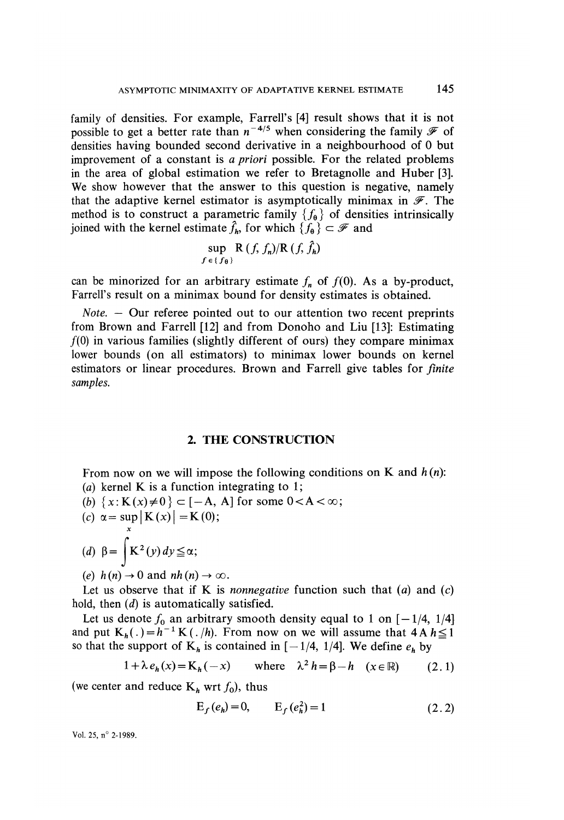family of densities. For example, Farrell's [4] result shows that it is not possible to get a better rate than  $n^{-4/5}$  when considering the family  $\mathscr F$  of densities having bounded second derivative in a neighbourhood of 0 but improvement of a constant is a priori possible. For the related problems in the area of global estimation we refer to Bretagnolle and Huber [3]. We show however that the answer to this question is negative, namely that the adaptive kernel estimator is asymptotically minimax in  $\mathscr F$ . The method is to construct a parametric family  $\{f_{\theta}\}\$  of densities intrinsically joined with the kernel estimate  $\hat{f}_h$ , for which  $\{f_0\} \subset \mathcal{F}$  and

$$
\sup_{f \in \{f_{\theta}\}} R(f, f_n) / R(f, f_h)
$$

can be minorized for an arbitrary estimate  $f_n$  of  $f(0)$ . As a by-product, Farrell's result on a minimax bound for density estimates is obtained.

Note. - Our referee pointed out to our attention two recent preprints from Brown and Farrell [12] and from Donoho and Liu [13]: Estimating  $f(0)$  in various families (slightly different of ours) they compare minimax lower bounds (on all estimators) to minimax lower bounds on kernel estimators or linear procedures. Brown and Farrell give tables for finite samples.

#### 2. THE CONSTRUCTION

From now on we will impose the following conditions on K and  $h(n)$ : (a) kernel K is a function integrating to 1;

- (b)  $\{x: K(x) \neq 0\} \subset [-A, A]$  for some  $0 < A < \infty$ ;<br>(c)  $\alpha = \sup_{x} |K(x)| = K(0);$
- 
- (d)  $\beta = \int K^2(y) dy \leq \alpha;$
- (e)  $h(n) \rightarrow 0$  and  $nh(n) \rightarrow \infty$ .

Let us observe that if K is *nonnegative* function such that  $(a)$  and  $(c)$ hold, then (*d*) is automatically satisfied.

Let us denote  $f_0$  an arbitrary smooth density equal to 1 on  $[-1/4, 1/4]$ and put  $K_h(.) = h^{-1} K(.)/h$ . From now on we will assume that  $4A h \le 1$ so that the support of  $K_h$  is contained in  $[-1/4, 1/4]$ . We define  $e_h$  by

$$
1 + \lambda e_h(x) = \mathbf{K}_h(-x) \quad \text{where} \quad \lambda^2 h = \beta - h \quad (x \in \mathbb{R}) \tag{2.1}
$$

(we center and reduce  $K_h$  wrt  $f_0$ ), thus

$$
E_f(e_h) = 0, \qquad E_f(e_h^2) = 1 \tag{2.2}
$$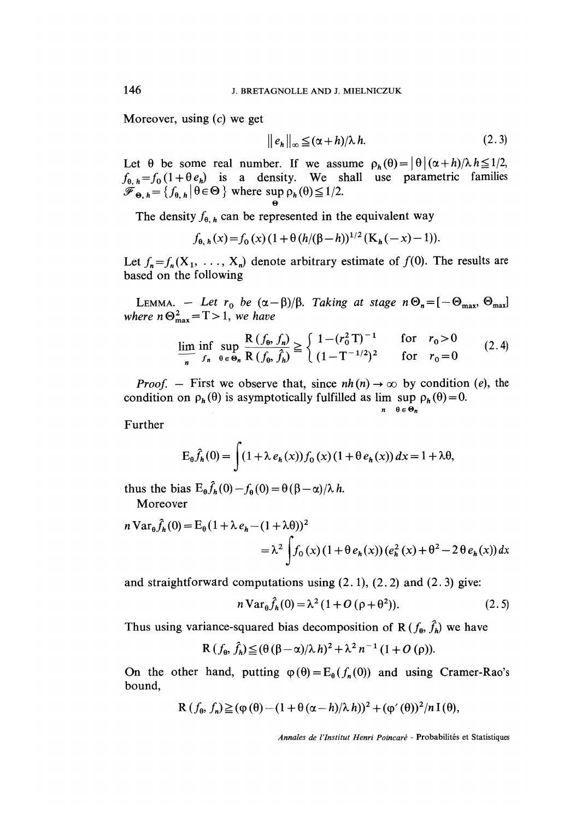Moreover, using  $(c)$  we get

$$
\|e_h\|_{\infty} \leq (\alpha + h)/\lambda \, h. \tag{2.3}
$$

Let  $\theta$  be some real number. If we assume  $\rho_h(\theta) = |\theta| (\alpha + h)/\lambda h \leq 1/2$ ,  $f_{\theta, h} = f_0 (1 + \theta e_h)$  is a density. We shall use parametric families  $\mathscr{F}_{\Theta, h} = \{ f_{\Theta, h} | \theta \in \Theta \}$  where sup  $\rho_h(\theta) \leq 1/2$ .

The density  $f_{\theta,h}$  can be represented in the equivalent way

$$
f_{\theta, h}(x) = f_0(x) (1 + \theta (h/(\beta - h))^{1/2} (K_h(-x) - 1)).
$$

Let  $f_n = f_n (X_1, \ldots, X_n)$  denote arbitrary estimate of  $f (0)$ . The results are based on the following

LEMMA. - Let  $r_0$  be  $(\alpha - \beta)/\beta$ . Taking at stage  $n \Theta_n = [-\Theta_{\text{max}}, \Theta_{\text{max}}]$ where  $n \Theta_{\text{max}}^2 = T > 1$ , we have

$$
\lim_{n} \inf_{f_n} \sup_{\theta \in \Theta_n} \frac{R(f_\theta, f_n)}{R(f_\theta, \hat{f}_n)} \ge \begin{cases} 1 - (r_0^2 \, \text{T})^{-1} & \text{for} \quad r_0 > 0 \\ (1 - \text{T}^{-1/2})^2 & \text{for} \quad r_0 = 0 \end{cases} \tag{2.4}
$$

*Proof.* – First we observe that, since  $nh(n) \rightarrow \infty$  by condition (e), the condition on  $\rho_h(\theta)$  is asymptotically fulfilled as lim sup  $\rho_h(\theta) = 0$ .

$$
n\quad \theta \in \Theta_n
$$

Further

$$
E_{\theta}\hat{f}_h(0) = \int (1 + \lambda e_h(x)) f_0(x) (1 + \theta e_h(x)) dx = 1 + \lambda \theta,
$$

thus the bias  $E_{\theta} \hat{f}_h(0) - f_{\theta}(0) = \theta (\beta - \alpha)/\lambda h$ . Moreover

$$
n \operatorname{Var}_{\theta} \hat{f}_{h}(0) = \operatorname{E}_{\theta} (1 + \lambda e_{h} - (1 + \lambda \theta))^{2}
$$
  
=  $\lambda^{2} \int f_{0}(x) (1 + \theta e_{h}(x)) (e_{h}^{2}(x) + \theta^{2} - 2 \theta e_{h}(x)) dx$ 

and straightforward computations using  $(2.1)$ ,  $(2.2)$  and  $(2.3)$  give:

$$
n \operatorname{Var}_{\theta} \hat{f}_h(0) = \lambda^2 (1 + O(\rho + \theta^2)). \tag{2.5}
$$

Thus using variance-squared bias decomposition of R  $(f_{\theta}, \hat{f}_{h})$  we have

$$
R(f_{\theta},\hat{f}_{h})\leq (\theta(\beta-\alpha)/\lambda h)^{2}+\lambda^{2} n^{-1} (1+O(\rho)).
$$

On the other hand, putting  $\varphi(\theta) = E_{\theta}(f_n(0))$  and using Cramer-Rao's bound,

$$
\mathbf{R}\left(f_{\theta}, f_{n}\right) \geq \left(\varphi\left(\theta\right) - \left(1 + \theta\left(\alpha - h\right)/\lambda h\right)\right)^{2} + \left(\varphi'\left(\theta\right)\right)^{2}/n \operatorname{I}\left(\theta\right),
$$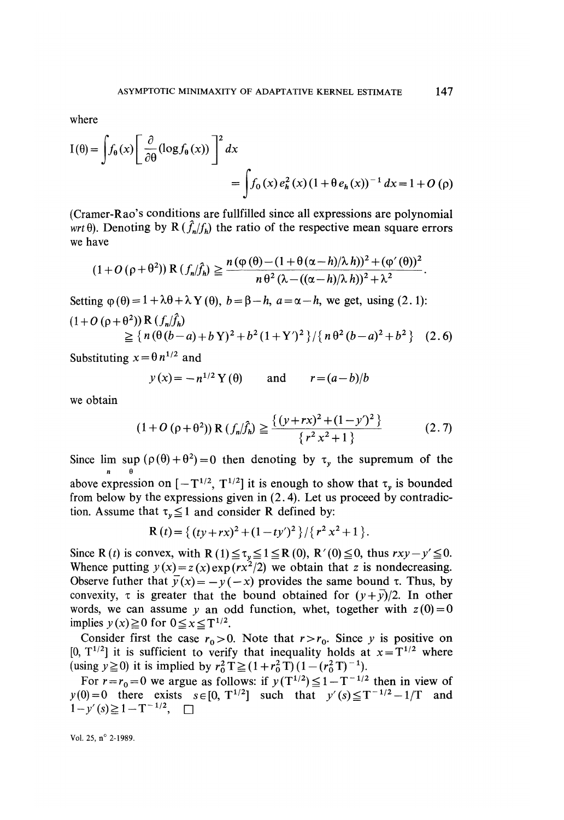where

$$
I(\theta) = \int f_{\theta}(x) \left[ \frac{\partial}{\partial \theta} (\log f_{\theta}(x)) \right]^2 dx
$$
  
= 
$$
\int f_0(x) e_h^2(x) (1 + \theta e_h(x))^{-1} dx = 1 + O(\rho)
$$

(Cramer-Rao's conditions are fullfilled since all expressions are polynomial wrt  $\theta$ ). Denoting by R ( $\hat{f}_n/f_n$ ) the ratio of the respective mean square errors we have

$$
(1+O(\rho+\theta^2)) R(f_n/\hat{f}_n) \geq \frac{n(\phi(\theta)-(1+\theta(\alpha-h)/\lambda h))^2+(\phi'(\theta))^2}{n\theta^2(\lambda-((\alpha-h)/\lambda h))^2+\lambda^2}.
$$

Setting  $\varphi(\theta) = 1 + \lambda \theta + \lambda Y(\theta)$ ,  $b = \beta - h$ ,  $a = \alpha - h$ , we get, using (2.1):

$$
(1+O(p+\theta^2)) R (f_n/f_n)
$$
  
\n
$$
\geq {n (\theta(b-a)+b \,Y)^2 + b^2 (1+Y')^2}/ {n \theta^2 (b-a)^2 + b^2}
$$
 (2.6)

Substituting  $x = \theta n^{1/2}$  and

$$
y(x) = -n^{1/2} Y(\theta)
$$
 and  $r = (a-b)/b$ 

we obtain

$$
(1+O(p+\theta^2)) R(f_n/\hat{f}_n) \geq \frac{\{(y+rx)^2 + (1-y')^2\}}{\{r^2 x^2 + 1\}}
$$
 (2.7)

Since lim sup  $(\rho(\theta) + \theta^2) = 0$  then denoting by  $\tau_v$  the supremum of the n e

above expression on  $[-T^{1/2}, T^{1/2}]$  it is enough to show that  $\tau_y$  is bounded from below by the expressions given in (2. 4). Let us proceed by contradiction. Assume that  $\tau_v \leq 1$  and consider R defined by:

$$
R(t) = \{ (ty + rx)^2 + (1 - ty')^2 \} / \{ r^2 x^2 + 1 \}.
$$

Since R (*t*) is convex, with R (1)  $\leq \tau_y \leq 1 \leq R$  (0), R' (0)  $\leq$  0, thus  $rxy - y' \leq 0$ . Whence putting  $y(x) = z(x) \exp(rx^2/2)$  we obtain that z is nondecreasing. Observe futher that  $\overline{y}(x) = -y(-x)$  provides the same bound  $\tau$ . Thus, by convexity,  $\tau$  is greater that the bound obtained for  $(y+\bar{y})/2$ . In other words, we can assume y an odd function, whet, together with  $z(0)=0$ implies  $y(x) \ge 0$  for  $0 \le x \le T^{1/2}$ .

Consider first the case  $r_0 > 0$ . Note that  $r > r_0$ . Since y is positive on [0,  $T^{1/2}$ ] it is sufficient to verify that inequality holds at  $x = T^{1/2}$  where (using  $y \ge 0$ ) it is implied by  $r_0^2$  T  $\ge (1 + r_0^2$  T)  $(1 - (r_0^2 T)^{-1})$ .

For  $r = r_0 = 0$  we argue as follows: if  $y(T^{1/2}) \leq 1 - T^{-1/2}$  then in view of  $y(0) = 0$  there exists  $s \in [0, T^{1/2}]$  such that  $y'(s) \leq T^{-1/2} - 1/T$  and  $1 - y'(s) \geq 1 - T^{-1/2}$ ,  $\Box$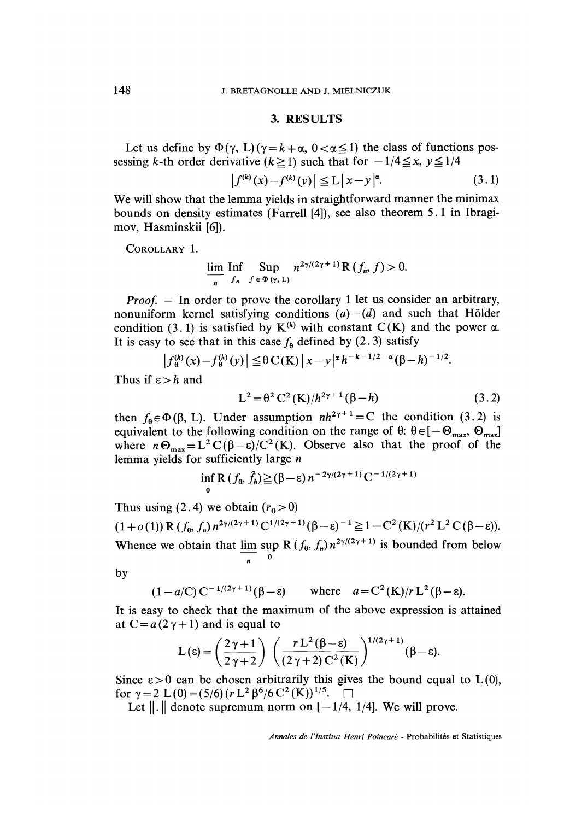#### 3. RESULTS

Let us define by  $\Phi(\gamma, L) (\gamma = k + \alpha, 0 < \alpha \leq 1)$  the class of functions possessing k-th order derivative ( $k \ge 1$ ) such that for  $-1/4 \le x$ ,  $y \le 1/4$ 

$$
\left| f^{(k)}(x) - f^{(k)}(y) \right| \leqq L \left| x - y \right|^\alpha. \tag{3.1}
$$

We will show that the lemma yields in straightforward manner the minimax bounds on density estimates (Farrell [4]), see also theorem 5 .1 in Ibragimov, Hasminskii [6]).

COROLLARY 1.

$$
\lim_{n} \mathop{\text{Inf}}_{f_n} \mathop{\text{Sup}}_{f \in \Phi(\gamma, L)} n^{2\gamma/(2\gamma + 1)} \mathop{\text{R}}_{\gamma}(f_n, f) > 0.
$$

*Proof.*  $-$  In order to prove the corollary 1 let us consider an arbitrary, nonuniform kernel satisfying conditions  $(a) - (d)$  and such that Hölder condition (3.1) is satisfied by  $K^{(k)}$  with constant C(K) and the power  $\alpha$ . It is easy to see that in this case  $f_{\theta}$  defined by (2.3) satisfy

$$
\left|f_{\theta}^{(k)}(x) - f_{\theta}^{(k)}(y)\right| \leq \theta C(K) \left|x - y\right|^{\alpha} h^{-k-1/2-\alpha} (\beta - h)^{-1/2}.
$$

Thus if  $\varepsilon > h$  and

$$
L^{2} = \theta^{2} C^{2}(K)/h^{2\gamma+1}(\beta - h)
$$
 (3.2)

then  $f_{\theta} \in \Phi(\beta, L)$ . Under assumption  $nh^{2\gamma + 1} = C$  the condition (3.2) is equivalent to the following condition on the range of  $\theta$ :  $\theta \in [-\Theta_{\text{max}}, \Theta_{\text{max}}]$ where  $n\Theta_{\text{max}} = L^2 C(\beta - \varepsilon)/C^2(K)$ . Observe also that the proof of the lemma yields for sufficiently large n

$$
\inf_{\theta} \mathsf{R} (f_{\theta}, \hat{f}_{\theta}) \geq (\beta - \varepsilon) n^{-2\gamma/(2\gamma + 1)} \mathsf{C}^{-1/(2\gamma + 1)}
$$

Thus using (2.4) we obtain  $(r_0 > 0)$  $(1+o(1))$  R  $(f_{\theta}, f_n) n^{2\gamma/(2\gamma+1)} C^{1/(2\gamma+1)}(\beta-\varepsilon)^{-1} \geq 1-C^2(K)/(r^2L^2C(\beta-\varepsilon)).$ Whence we obtain that  $\lim_{n \to \infty} \sup_{\theta} R(f_{\theta}, f_{n}) n^{2\gamma/(2\gamma + 1)}$  is bounded from below

by

 $(1-a/C) C^{-1/(2\gamma+1)}(\beta-\varepsilon)$  where  $a=C^2(K)/rL^2(\beta-\varepsilon)$ .

It is easy to check that the maximum of the above expression is attained at  $C = a(2\gamma + 1)$  and is equal to

$$
L(\varepsilon) = \left(\frac{2\gamma+1}{2\gamma+2}\right) \left(\frac{rL^2(\beta-\varepsilon)}{(2\gamma+2)C^2(K)}\right)^{1/(2\gamma+1)}(\beta-\varepsilon).
$$

Since  $\epsilon > 0$  can be chosen arbitrarily this gives the bound equal to  $L(0)$ , for  $\gamma = 2$  L(0) = (5/6) (r L<sup>2</sup>  $\beta^{6}/6$  C<sup>2</sup> (K))<sup>1/5</sup>.  $\square$ 

Let  $\| \cdot \|$  denote supremum norm on  $[-1/4, 1/4]$ . We will prove.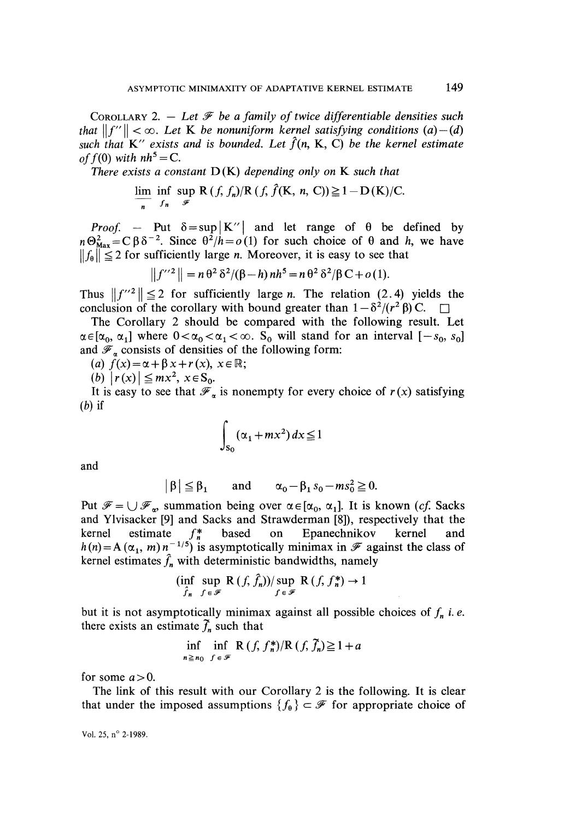COROLLARY 2. - Let  $\mathcal F$  be a family of twice differentiable densities such that  $||f''|| < \infty$ . Let K be nonuniform kernel satisfying conditions (a) - (d) such that  $K''$  exists and is bounded. Let  $\hat{f}(n, K, C)$  be the kernel estimate of  $f(0)$  with  $nh^5 = C$ .

There exists a constant  $D(K)$  depending only on K such that

$$
\lim_{n} \inf_{f_n} \sup_{\mathscr{F}} R(f, f_n) / R(f, \hat{f}(K, n, C)) \geq 1 - D(K) / C.
$$

*Proof.* - Put  $\delta = \sup|K''|$  and let range of  $\theta$  be defined by  $n\Theta_{\text{Max}}^2 = C \beta \delta^{-2}$ . Since  $\theta^2/h = o(1)$  for such choice of  $\theta$  and h, we have  $||f_{\theta}|| \leq 2$  for sufficiently large *n*. Moreover, it is easy to see that

$$
||f^{\prime\prime 2}|| = n \theta^2 \delta^2/(\beta - h) nh^5 = n \theta^2 \delta^2/\beta C + o(1).
$$

Thus  $||f''^2|| \le 2$  for sufficiently large *n*. The relation (2.4) yields the conclusion of the corollary with bound greater than  $1 - \delta^2/(r^2 \beta)$  C. conclusion of the corollary with bound greater than  $1 - \delta^2/(r^2 \beta)$  C.

The Corollary 2 should be compared with the following result. Let  $\alpha \in [\alpha_0, \alpha_1]$  where  $0 < \alpha_0 < \alpha_1 < \infty$ . S<sub>o</sub> will stand for an interval  $[-s_0, s_0]$ and  $\mathscr{F}_n$  consists of densities of the following form:

(a)  $f(x) = \alpha + \beta x + r(x), x \in \mathbb{R}$ ;

(b)  $|r(x)| \leq mx^2, x \in S_0$ .

It is easy to see that  $\mathscr{F}_{\alpha}$  is nonempty for every choice of  $r(x)$  satisfying  $(b)$  if

$$
\int_{S_0} (\alpha_1 + mx^2) dx \le 1
$$

and

$$
|\beta| \leq \beta_1
$$
 and  $\alpha_0 - \beta_1 s_0 - ms_0^2 \geq 0$ .

Put  $\mathscr{F} = \bigcup \mathscr{F}_{\alpha}$ , summation being over  $\alpha \in [\alpha_0, \alpha_1]$ . It is known (cf. Sacks and Ylvisacker [9] and Sacks and Strawderman [8]), respectively that the kernel estimate  $f_n^*$  based on Epanechnikov kernel and kernel estimate  $f_n^*$  based on Epanechnikov kernel and m)  $n^{-1/5}$ ) is asymptotically minimax in  $\mathscr F$  against the class of kernel estimates  $\hat{f}_n$  with deterministic bandwidths, namely

$$
(\inf_{\hat{f}_n} \sup_{f \in \mathscr{F}} \mathbf{R}(f, \hat{f}_n))/\sup_{f \in \mathscr{F}} \mathbf{R}(f, f_n^*) \to 1
$$

but it is not asymptotically minimax against all possible choices of  $f_n$  i.e. there exists an estimate  $\tilde{f}_n$  such that

$$
\inf_{n \ge n_0} \inf_{f \in \mathcal{F}} R(f, f_n^*)/R(f, \bar{f}_n) \ge 1 + a
$$

for some  $a > 0$ .

The link of this result with our Corollary 2 is the following. It is clear that under the imposed assumptions  $\{f_{\theta}\}\subset\mathscr{F}$  for appropriate choice of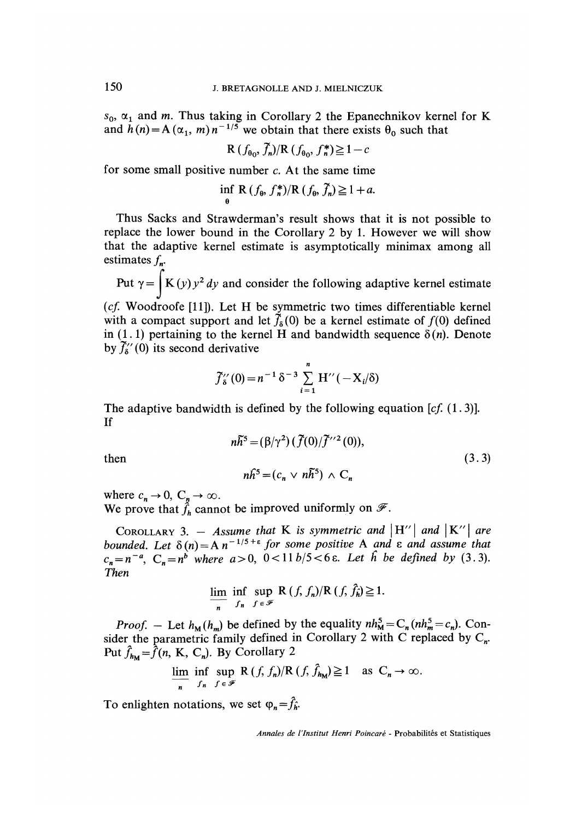$s_0$ ,  $\alpha_1$  and m. Thus taking in Corollary 2 the Epanechnikov kernel for K and  $h(n) = A(\alpha_1, m) n^{-1/5}$  we obtain that there exists  $\theta_0$  such that

$$
R(f_{\theta_0}, \bar{f}_n)/R(f_{\theta_0}, f_n^*) \ge 1 - c
$$

for some small positive number  $c$ . At the same time

$$
\inf_{\theta} \mathbf{R} (f_{\theta}, f_{n}^{*})/\mathbf{R} (f_{\theta}, \tilde{f}_{n}) \geq 1 + a.
$$

Thus Sacks and Strawderman's result shows that it is not possible to replace the lower bound in the Corollary 2 by 1. However we will show that the adaptive kernel estimate is asymptotically minimax among all estimates  $f_n$ .

Put  $\gamma = \int K(y) y^2 dy$  and consider the following adaptive kernel estimate

( $cf.$  Woodroofe [11]). Let H be symmetric two times differentiable kernel with a compact support and let  $\bar{f}_6(0)$  be a kernel estimate of  $f(0)$  defined in (1.1) pertaining to the kernel H and bandwidth sequence  $\delta(n)$ . Denote by  $\tilde{f}_\delta^{\prime\prime}(0)$  its second derivative

$$
\tilde{f}''_8(0) = n^{-1} \delta^{-3} \sum_{i=1}^n H''(-X_i/\delta)
$$

The adaptive bandwidth is defined by the following equation  $[cf, (1,3)]$ . If

$$
n\tilde{h}^{5} = (\beta/\gamma^{2}) (\tilde{f}(0)/\tilde{f}^{\prime\prime 2}(0)),
$$
  
\n
$$
n\tilde{h}^{5} = (c \vee n\tilde{h}^{5}) \wedge C
$$
\n(3.3)

then

where  $c_n \to 0$ ,  $C_n \to \infty$ . We prove that  $\hat{f}_h$  cannot be improved uniformly

COROLLARY 3. - Assume that K is symmetric and  $|H''|$  and  $|K''|$  are bounded. Let  $\delta(n) = A n^{-1/5+\epsilon}$  for some positive A and  $\epsilon$  and assume that  $C_n = n^b$  where  $a > 0$ ,  $0 < 11 b/5 < 6 \epsilon$ . Let h be defined by  $(3.3)$ . Then

$$
\lim_{n} \inf_{f_n} \sup_{f \in \mathcal{F}} R(f, f_n) / R(f, f_n) \geq 1.
$$

*Proof.* – Let  $h_M(h_m)$  be defined by the equality  $nh_M^5 = C_n(nh_m^5 - c_n)$ . Consider the parametric family defined in Corollary 2 with C replaced by  $C_n$ . Put  $\hat{f}_{h_{\mathbf{M}}} = \hat{f}(n, K, C_n)$ . By Corollary 2

$$
\lim_{n} \inf_{f_n} \sup_{f \in \mathcal{F}} R(f, f_n) / R(f, f_{h_M}) \ge 1 \quad \text{as } C_n \to \infty
$$

To enlighten notations, we set  $\varphi_n = \hat{f}_n$ .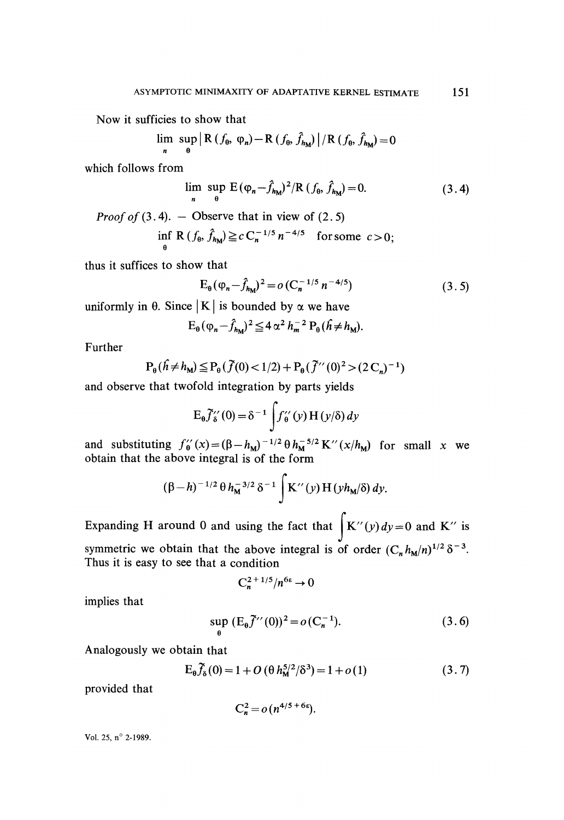Now it sufficies to show that

$$
\lim_{n} \sup_{\theta} \left| R(f_{\theta}, \varphi_{n}) - R(f_{\theta}, \hat{f}_{h_{\text{M}}} ) \right| / R(f_{\theta}, \hat{f}_{h_{\text{M}}} ) = 0
$$

which follows from

$$
\lim_{n} \sup_{\theta} E(\varphi_n - \hat{f}_{h_M})^2 / R(f_{\theta}, \hat{f}_{h_M}) = 0.
$$
 (3.4)

*Proof of* (3.4). - Observe that in view of (2.5)

$$
\inf_{\theta} \mathbf{R} (f_{\theta}, \hat{f}_{h_{\mathbf{M}}}) \geq c C_n^{-1/5} n^{-4/5} \text{ for some } c > 0;
$$

thus it suffices to show that

$$
E_{\theta}(\varphi_n - \hat{f}_{h_M})^2 = o(C_n^{-1/5} n^{-4/5})
$$
\n(3.5)

uniformly in  $\theta$ . Since | K | is bounded by  $\alpha$  we have

$$
E_{\theta}(\varphi_n-\hat{f}_{h_M})^2\leqq 4\alpha^2\,h_m^{-2}\,P_{\theta}(\hat{h}\neq h_M).
$$

Further

$$
P_{\theta}(\hat{h} \neq h_{M}) \leq P_{\theta}(\tilde{f}(0) < 1/2) + P_{\theta}(\tilde{f}^{\prime\prime}(0)^{2} > (2C_{n})^{-1})
$$

and observe that twofold integration by parts yields

$$
E_{\theta}\widetilde{f}_{\delta}^{\prime\prime}(0)=\delta^{-1}\int f_{\theta}^{\prime\prime}(y) H(y/\delta) dy
$$

and substituting  $f_0''(x) = (\beta - h_M)^{-1/2} \theta h_M^{-5/2} K''(x/h_M)$  for small x we obtain that the above integral is of the form

$$
(\beta - h)^{-1/2} \theta h_M^{-3/2} \delta^{-1} \int K^{\prime\prime}(y) H(y h_M/\delta) dy.
$$

Expanding H around 0 and using the fact that  $\int K''(y) dy = 0$  and K" is symmetric we obtain that the above integral is of order  $(C_n h_M/n)^{1/2} \delta^{-3}$ . Thus it is easy to see that a condition

$$
C_n^{2+1/5}/n^{6\epsilon} \to 0
$$

implies that

$$
\sup_{\theta} (E_{\theta} \tilde{f}^{\prime\prime}(0))^2 = o(C_n^{-1}).
$$
\n(3.6)

Analogously we obtain that

$$
E_{\theta}\tilde{f}_{\delta}(0) = 1 + O\left(\theta h_{\mathbf{M}}^{5/2} / \delta^3\right) = 1 + o(1)
$$
 (3.7)

provided that

$$
C_n^2 = o\left(n^{4/5+6\epsilon}\right).
$$